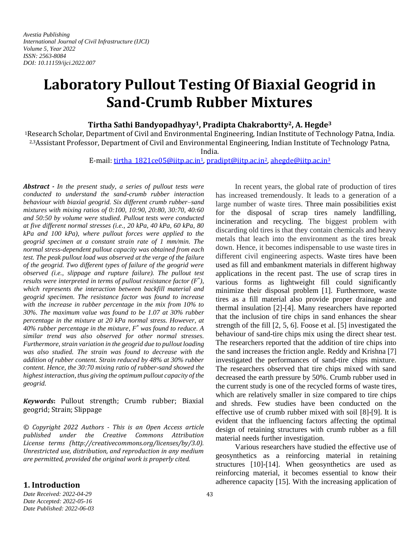# **Laboratory Pullout Testing Of Biaxial Geogrid in Sand-Crumb Rubber Mixtures**

## **Tirtha Sathi Bandyopadhyay1, Pradipta Chakrabortty2, A. Hegde<sup>3</sup>**

<sup>1</sup>Research Scholar, Department of Civil and Environmental Engineering, Indian Institute of Technology Patna, India. 2,3Assistant Professor, Department of Civil and Environmental Engineering, Indian Institute of Technology Patna,

India.

#### E-mail: [tirtha\\_1821ce05@iitp.ac.in](mailto:tirtha_1821ce05@iitp.ac.in1)1, [pradipt@iitp.ac.in](mailto:pradipt@iitp.ac.in2)2[, ahegde@iitp.ac.in](mailto:ahegde@iitp.ac.in3)<sup>3</sup>

*Abstract - In the present study, a series of pullout tests were conducted to understand the sand-crumb rubber interaction behaviour with biaxial geogrid. Six different crumb rubber–sand mixtures with mixing ratios of 0:100, 10:90, 20:80, 30:70, 40:60 and 50:50 by volume were studied. Pullout tests were conducted at five different normal stresses (i.e., 20 kPa, 40 kPa, 60 kPa, 80 kPa and 100 kPa), where pullout forces were applied to the geogrid specimen at a constant strain rate of 1 mm/min. The normal stress-dependent pullout capacity was obtained from each test. The peak pullout load was observed at the verge of the failure of the geogrid. Two different types of failure of the geogrid were observed (i.e., slippage and rupture failure). The pullout test results were interpreted in terms of pullout resistance factor (F\* ), which represents the interaction between backfill material and geogrid specimen. The resistance factor was found to increase with the increase in rubber percentage in the mix from 10% to 30%. The maximum value was found to be 1.07 at 30% rubber percentage in the mixture at 20 kPa normal stress. However, at 40% rubber percentage in the mixture, F \* was found to reduce. A similar trend was also observed for other normal stresses. Furthermore, strain variation in the geogrid due to pullout loading was also studied. The strain was found to decrease with the addition of rubber content. Strain reduced by 48% at 30% rubber content. Hence, the 30:70 mixing ratio of rubber-sand showed the highest interaction, thus giving the optimum pullout capacity of the geogrid.*

*Keywords***:** Pullout strength; Crumb rubber; Biaxial geogrid; Strain; Slippage

*© Copyright 2022 Authors - This is an Open Access article published under the Creative Commons Attribution License terms (http://creativecommons.org/licenses/by/3.0). Unrestricted use, distribution, and reproduction in any medium are permitted, provided the original work is properly cited.*

In recent years, the global rate of production of tires has increased tremendously. It leads to a generation of a large number of waste tires. Three main possibilities exist for the disposal of scrap tires namely landfilling, incineration and recycling. The biggest problem with discarding old tires is that they contain chemicals and heavy metals that leach into the environment as the tires break down. Hence, it becomes indispensable to use waste tires in different civil engineering aspects. Waste tires have been used as fill and embankment materials in different highway applications in the recent past. The use of scrap tires in various forms as lightweight fill could significantly minimize their disposal problem [1]. Furthermore, waste tires as a fill material also provide proper drainage and thermal insulation [2]-[4]. Many researchers have reported that the inclusion of tire chips in sand enhances the shear strength of the fill [2, 5, 6]. Foose et al. [5] investigated the behaviour of sand-tire chips mix using the direct shear test. The researchers reported that the addition of tire chips into the sand increases the friction angle. Reddy and Krishna [7] investigated the performances of sand-tire chips mixture. The researchers observed that tire chips mixed with sand decreased the earth pressure by 50%. Crumb rubber used in the current study is one of the recycled forms of waste tires, which are relatively smaller in size compared to tire chips and shreds. Few studies have been conducted on the effective use of crumb rubber mixed with soil [8]-[9]. It is evident that the influencing factors affecting the optimal design of retaining structures with crumb rubber as a fill material needs further investigation.

Various researchers have studied the effective use of geosynthetics as a reinforcing material in retaining structures [10]-[14]. When geosynthetics are used as reinforcing material, it becomes essential to know their adherence capacity [15]. With the increasing application of

# **1. Introduction**

*Date Received: 2022-04-29 Date Accepted: 2022-05-16 Date Published: 2022-06-03*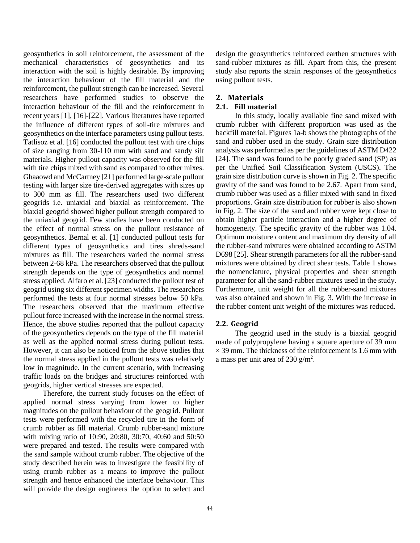geosynthetics in soil reinforcement, the assessment of the mechanical characteristics of geosynthetics and its interaction with the soil is highly desirable. By improving the interaction behaviour of the fill material and the reinforcement, the pullout strength can be increased. Several researchers have performed studies to observe the interaction behaviour of the fill and the reinforcement in recent years [1], [16]-[22]. Various literatures have reported the influence of different types of soil-tire mixtures and geosynthetics on the interface parameters using pullout tests. Tatlisoz et al. [16] conducted the pullout test with tire chips of size ranging from 30-110 mm with sand and sandy silt materials. Higher pullout capacity was observed for the fill with tire chips mixed with sand as compared to other mixes. Ghaaowd and McCartney [21] performed large-scale pullout testing with larger size tire-derived aggregates with sizes up to 300 mm as fill. The researchers used two different geogrids i.e. uniaxial and biaxial as reinforcement. The biaxial geogrid showed higher pullout strength compared to the uniaxial geogrid. Few studies have been conducted on the effect of normal stress on the pullout resistance of geosynthetics. Bernal et al. [1] conducted pullout tests for different types of geosynthetics and tires shreds-sand mixtures as fill. The researchers varied the normal stress between 2-68 kPa. The researchers observed that the pullout strength depends on the type of geosynthetics and normal stress applied. Alfaro et al. [23] conducted the pullout test of geogrid using six different specimen widths. The researchers performed the tests at four normal stresses below 50 kPa. The researchers observed that the maximum effective pullout force increased with the increase in the normal stress. Hence, the above studies reported that the pullout capacity of the geosynthetics depends on the type of the fill material as well as the applied normal stress during pullout tests. However, it can also be noticed from the above studies that the normal stress applied in the pullout tests was relatively low in magnitude. In the current scenario, with increasing traffic loads on the bridges and structures reinforced with geogrids, higher vertical stresses are expected.

Therefore, the current study focuses on the effect of applied normal stress varying from lower to higher magnitudes on the pullout behaviour of the geogrid. Pullout tests were performed with the recycled tire in the form of crumb rubber as fill material. Crumb rubber-sand mixture with mixing ratio of 10:90, 20:80, 30:70, 40:60 and 50:50 were prepared and tested. The results were compared with the sand sample without crumb rubber. The objective of the study described herein was to investigate the feasibility of using crumb rubber as a means to improve the pullout strength and hence enhanced the interface behaviour. This will provide the design engineers the option to select and design the geosynthetics reinforced earthen structures with sand-rubber mixtures as fill. Apart from this, the present study also reports the strain responses of the geosynthetics using pullout tests.

# **2. Materials**

# **2.1. Fill material**

In this study, locally available fine sand mixed with crumb rubber with different proportion was used as the backfill material. Figures 1a-b shows the photographs of the sand and rubber used in the study. Grain size distribution analysis was performed as per the guidelines of ASTM D422 [24]. The sand was found to be poorly graded sand (SP) as per the Unified Soil Classification System (USCS). The grain size distribution curve is shown in Fig. 2. The specific gravity of the sand was found to be 2.67. Apart from sand, crumb rubber was used as a filler mixed with sand in fixed proportions. Grain size distribution for rubber is also shown in Fig. 2. The size of the sand and rubber were kept close to obtain higher particle interaction and a higher degree of homogeneity. The specific gravity of the rubber was 1.04. Optimum moisture content and maximum dry density of all the rubber-sand mixtures were obtained according to ASTM D698 [25]. Shear strength parameters for all the rubber-sand mixtures were obtained by direct shear tests. Table 1 shows the nomenclature, physical properties and shear strength parameter for all the sand-rubber mixtures used in the study. Furthermore, unit weight for all the rubber-sand mixtures was also obtained and shown in Fig. 3. With the increase in the rubber content unit weight of the mixtures was reduced.

# **2.2. Geogrid**

The geogrid used in the study is a biaxial geogrid made of polypropylene having a square aperture of 39 mm  $\times$  39 mm. The thickness of the reinforcement is 1.6 mm with a mass per unit area of  $230 \text{ g/m}^2$ .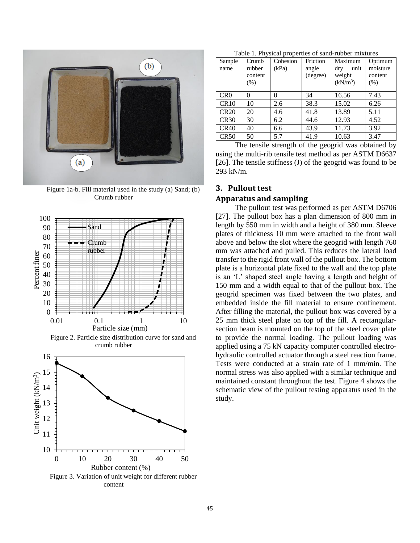

Figure 1a-b. Fill material used in the study (a) Sand; (b) Crumb rubber



Figure 2. Particle size distribution curve for sand and crumb rubber



content

Table 1. Physical properties of sand-rubber mixtures

| Sample<br>name  | Crumb<br>rubber<br>content<br>(% ) | Cohesion<br>(kPa) | Friction<br>angle<br>(degree) | Maximum<br>dry<br>unit<br>weight<br>(kN/m <sup>3</sup> ) | Optimum<br>moisture<br>content<br>(% ) |
|-----------------|------------------------------------|-------------------|-------------------------------|----------------------------------------------------------|----------------------------------------|
| CR <sub>0</sub> | 0                                  |                   | 34                            | 16.56                                                    | 7.43                                   |
| CR10            | 10                                 | 2.6               | 38.3                          | 15.02                                                    | 6.26                                   |
| <b>CR20</b>     | 20                                 | 4.6               | 41.8                          | 13.89                                                    | 5.11                                   |
| CR30            | 30                                 | 6.2               | 44.6                          | 12.93                                                    | 4.52                                   |
| CR40            | 40                                 | 6.6               | 43.9                          | 11.73                                                    | 3.92                                   |
| CR50            | 50                                 | 5.7               | 41.9                          | 10.63                                                    | 3.47                                   |

The tensile strength of the geogrid was obtained by using the multi-rib tensile test method as per ASTM D6637 [26]. The tensile stiffness (J) of the geogrid was found to be 293 kN/m.

## **3. Pullout test**

#### **Apparatus and sampling**

The pullout test was performed as per ASTM D6706 [27]. The pullout box has a plan dimension of 800 mm in length by 550 mm in width and a height of 380 mm. Sleeve plates of thickness 10 mm were attached to the front wall above and below the slot where the geogrid with length 760 mm was attached and pulled. This reduces the lateral load transfer to the rigid front wall of the pullout box. The bottom plate is a horizontal plate fixed to the wall and the top plate is an 'L' shaped steel angle having a length and height of 150 mm and a width equal to that of the pullout box. The geogrid specimen was fixed between the two plates, and embedded inside the fill material to ensure confinement. After filling the material, the pullout box was covered by a 25 mm thick steel plate on top of the fill. A rectangularsection beam is mounted on the top of the steel cover plate to provide the normal loading. The pullout loading was applied using a 75 kN capacity computer controlled electrohydraulic controlled actuator through a steel reaction frame. Tests were conducted at a strain rate of 1 mm/min. The normal stress was also applied with a similar technique and maintained constant throughout the test. Figure 4 shows the schematic view of the pullout testing apparatus used in the study.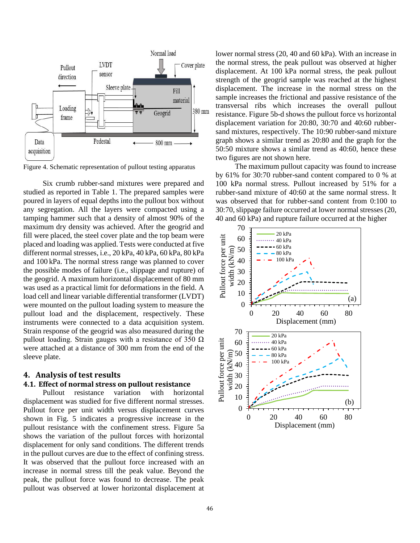

Figure 4. Schematic representation of pullout testing apparatus

Six crumb rubber-sand mixtures were prepared and studied as reported in Table 1. The prepared samples were poured in layers of equal depths into the pullout box without any segregation. All the layers were compacted using a tamping hammer such that a density of almost 90% of the maximum dry density was achieved. After the geogrid and fill were placed, the steel cover plate and the top beam were placed and loading was applied. Tests were conducted at five different normal stresses, i.e., 20 kPa, 40 kPa, 60 kPa, 80 kPa and 100 kPa. The normal stress range was planned to cover the possible modes of failure (i.e., slippage and rupture) of the geogrid. A maximum horizontal displacement of 80 mm was used as a practical limit for deformations in the field. A load cell and linear variable differential transformer (LVDT) were mounted on the pullout loading system to measure the pullout load and the displacement, respectively. These instruments were connected to a data acquisition system. Strain response of the geogrid was also measured during the pullout loading. Strain gauges with a resistance of 350  $\Omega$ were attached at a distance of 300 mm from the end of the sleeve plate.

# **4. Analysis of test results**

## **4.1. Effect of normal stress on pullout resistance**

Pullout resistance variation with horizontal displacement was studied for five different normal stresses. Pullout force per unit width versus displacement curves shown in Fig. 5 indicates a progressive increase in the pullout resistance with the confinement stress. Figure 5a shows the variation of the pullout forces with horizontal displacement for only sand conditions. The different trends in the pullout curves are due to the effect of confining stress. It was observed that the pullout force increased with an increase in normal stress till the peak value. Beyond the peak, the pullout force was found to decrease. The peak pullout was observed at lower horizontal displacement at lower normal stress (20, 40 and 60 kPa). With an increase in the normal stress, the peak pullout was observed at higher displacement. At 100 kPa normal stress, the peak pullout strength of the geogrid sample was reached at the highest displacement. The increase in the normal stress on the sample increases the frictional and passive resistance of the transversal ribs which increases the overall pullout resistance. Figure 5b-d shows the pullout force vs horizontal displacement variation for 20:80, 30:70 and 40:60 rubbersand mixtures, respectively. The 10:90 rubber-sand mixture graph shows a similar trend as 20:80 and the graph for the 50:50 mixture shows a similar trend as 40:60, hence these two figures are not shown here.

The maximum pullout capacity was found to increase by 61% for 30:70 rubber-sand content compared to 0 % at 100 kPa normal stress. Pullout increased by 51% for a rubber-sand mixture of 40:60 at the same normal stress. It was observed that for rubber-sand content from 0:100 to 30:70, slippage failure occurred at lower normal stresses (20, 40 and 60 kPa) and rupture failure occurred at the higher

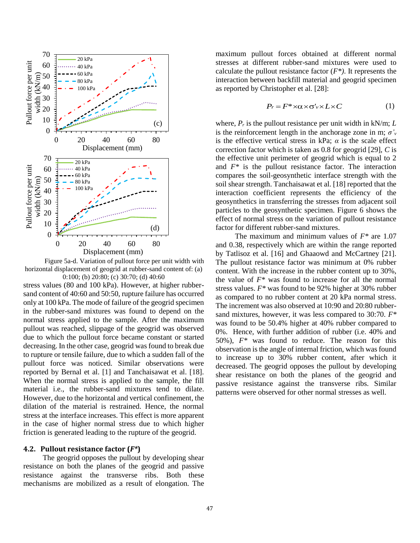

Figure 5a-d. Variation of pullout force per unit width with horizontal displacement of geogrid at rubber-sand content of: (a) 0:100; (b) 20:80; (c) 30:70; (d) 40:60

stress values (80 and 100 kPa). However, at higher rubbersand content of 40:60 and 50:50, rupture failure has occurred only at 100 kPa. The mode of failure of the geogrid specimen in the rubber-sand mixtures was found to depend on the normal stress applied to the sample. After the maximum pullout was reached, slippage of the geogrid was observed due to which the pullout force became constant or started decreasing. In the other case, geogrid was found to break due to rupture or tensile failure, due to which a sudden fall of the pullout force was noticed. Similar observations were reported by Bernal et al. [1] and Tanchaisawat et al. [18]. When the normal stress is applied to the sample, the fill material i.e., the rubber-sand mixtures tend to dilate. However, due to the horizontal and vertical confinement, the dilation of the material is restrained. Hence, the normal stress at the interface increases. This effect is more apparent in the case of higher normal stress due to which higher friction is generated leading to the rupture of the geogrid.

## **4.2. Pullout resistance factor (***F\****)**

The geogrid opposes the pullout by developing shear resistance on both the planes of the geogrid and passive resistance against the transverse ribs. Both these mechanisms are mobilized as a result of elongation. The

maximum pullout forces obtained at different normal stresses at different rubber-sand mixtures were used to calculate the pullout resistance factor  $(F^*)$ . It represents the interaction between backfill material and geogrid specimen as reported by Christopher et al. [28]:

$$
P_r = F^* \times \alpha \times \sigma'_v \times L \times C \tag{1}
$$

where,  $P_r$  is the pullout resistance per unit width in kN/m;  $L$ is the reinforcement length in the anchorage zone in m;  $\sigma'_v$ is the effective vertical stress in kPa;  $\alpha$  is the scale effect correction factor which is taken as 0.8 for geogrid [29], *C* is the effective unit perimeter of geogrid which is equal to 2 and *F\** is the pullout resistance factor. The interaction compares the soil-geosynthetic interface strength with the soil shear strength. Tanchaisawat et al. [18] reported that the interaction coefficient represents the efficiency of the geosynthetics in transferring the stresses from adjacent soil particles to the geosynthetic specimen. Figure 6 shows the effect of normal stress on the variation of pullout resistance factor for different rubber-sand mixtures.

The maximum and minimum values of *F\** are 1.07 and 0.38, respectively which are within the range reported by Tatlisoz et al. [16] and Ghaaowd and McCartney [21]. The pullout resistance factor was minimum at 0% rubber content. With the increase in the rubber content up to 30%, the value of *F\** was found to increase for all the normal stress values. *F\** was found to be 92% higher at 30% rubber as compared to no rubber content at 20 kPa normal stress. The increment was also observed at 10:90 and 20:80 rubbersand mixtures, however, it was less compared to 30:70. *F\**  was found to be 50.4% higher at 40% rubber compared to 0%. Hence, with further addition of rubber (i.e. 40% and 50%), *F\** was found to reduce. The reason for this observation is the angle of internal friction, which was found to increase up to 30% rubber content, after which it decreased. The geogrid opposes the pullout by developing shear resistance on both the planes of the geogrid and passive resistance against the transverse ribs. Similar patterns were observed for other normal stresses as well.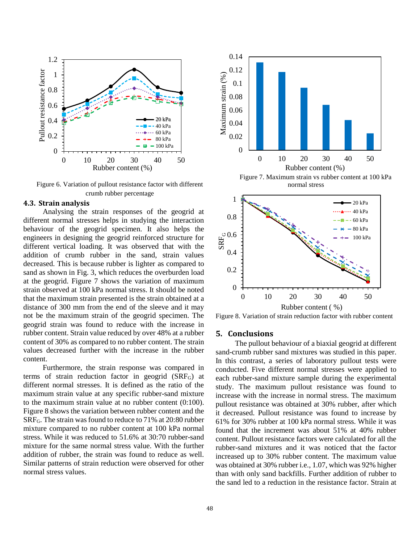

Figure 6. Variation of pullout resistance factor with different crumb rubber percentage

# **4.3. Strain analysis**

Analysing the strain responses of the geogrid at different normal stresses helps in studying the interaction behaviour of the geogrid specimen. It also helps the engineers in designing the geogrid reinforced structure for different vertical loading. It was observed that with the addition of crumb rubber in the sand, strain values decreased. This is because rubber is lighter as compared to sand as shown in Fig. 3, which reduces the overburden load at the geogrid. Figure 7 shows the variation of maximum strain observed at 100 kPa normal stress. It should be noted that the maximum strain presented is the strain obtained at a distance of 300 mm from the end of the sleeve and it may not be the maximum strain of the geogrid specimen. The geogrid strain was found to reduce with the increase in rubber content. Strain value reduced by over 48% at a rubber content of 30% as compared to no rubber content. The strain values decreased further with the increase in the rubber content.

Furthermore, the strain response was compared in terms of strain reduction factor in geogrid (SRFG) at different normal stresses. It is defined as the ratio of the maximum strain value at any specific rubber-sand mixture to the maximum strain value at no rubber content (0:100). Figure 8 shows the variation between rubber content and the SRFG. The strain was found to reduce to 71% at 20:80 rubber mixture compared to no rubber content at 100 kPa normal stress. While it was reduced to 51.6% at 30:70 rubber-sand mixture for the same normal stress value. With the further addition of rubber, the strain was found to reduce as well. Similar patterns of strain reduction were observed for other normal stress values.





Figure 8. Variation of strain reduction factor with rubber content

## **5. Conclusions**

The pullout behaviour of a biaxial geogrid at different sand-crumb rubber sand mixtures was studied in this paper. In this contrast, a series of laboratory pullout tests were conducted. Five different normal stresses were applied to each rubber-sand mixture sample during the experimental study. The maximum pullout resistance was found to increase with the increase in normal stress. The maximum pullout resistance was obtained at 30% rubber, after which it decreased. Pullout resistance was found to increase by 61% for 30% rubber at 100 kPa normal stress. While it was found that the increment was about 51% at 40% rubber content. Pullout resistance factors were calculated for all the rubber-sand mixtures and it was noticed that the factor increased up to 30% rubber content. The maximum value was obtained at 30% rubber i.e., 1.07, which was 92% higher than with only sand backfills. Further addition of rubber to the sand led to a reduction in the resistance factor. Strain at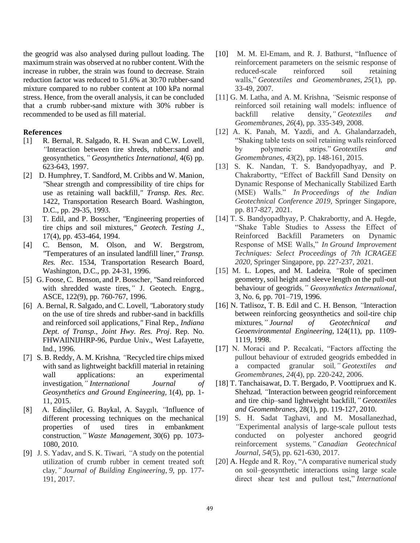the geogrid was also analysed during pullout loading. The maximum strain was observed at no rubber content. With the increase in rubber, the strain was found to decrease. Strain reduction factor was reduced to 51.6% at 30:70 rubber-sand mixture compared to no rubber content at 100 kPa normal stress. Hence, from the overall analysis, it can be concluded that a crumb rubber-sand mixture with 30% rubber is recommended to be used as fill material.

## **References**

- [1] R. Bernal, R. Salgado, R. H. Swan and C.W. Lovell*, "*Interaction between tire shreds, rubber:sand and geosynthetics*," Geosynthetics International,* 4(6) pp. 623-643, 1997.
- [2] D. Humphrey, T. Sandford, M. Cribbs and W. Manion*, "*Shear strength and compressibility of tire chips for use as retaining wall backfill*," Transp. Res. Rec.* 1422, Transportation Research Board. Washington, D.C., pp. 29-35, 1993.
- [3] T. Edil, and P. Bosscher, *"*Engineering properties of tire chips and soil mixtures*," Geotech. Testing J*., 17(4), pp. 453-464, 1994.
- [4] C. Benson, M. Olson, and W. Bergstrom, *"*Temperatures of an insulated landfill liner*," Transp. Res. Rec.* 1534, Transportation Research Board, Washington, D.C., pp. 24-31, 1996.
- [5] G. Foose, C. Benson, and P. Bosscher*, "*Sand reinforced with shredded waste tires,*"* J. Geotech. Engrg., ASCE, 122(9), pp. 760-767, 1996.
- [6] A. Bernal, R. Salgado, and C. Lovell*, "*Laboratory study on the use of tire shreds and rubber-sand in backfills and reinforced soil applications*,"* Final Rep., *Indiana Dept. of Transp., Joint Hwy. Res. Proj*. Rep. No. FHWAIlNIJHRP-96, Purdue Univ., West Lafayette, Ind., 1996.
- [7] S. B. Reddy, A. M. Krishna*, "*Recycled tire chips mixed with sand as lightweight backfill material in retaining wall applications: an experimental investigation*," International Journal of Geosynthetics and Ground Engineering,* 1(4), pp. 1- 11, 2015.
- [8] A. Edinçliler, G. Baykal, A. Saygılı*, "*Influence of different processing techniques on the mechanical properties of used tires in embankment construction*," Waste Management,* 30(6) pp. 1073- 1080, 2010.
- [9] J. S. Yadav, and S. K. Tiwari*, "*A study on the potential utilization of crumb rubber in cement treated soft clay*," Journal of Building Engineering*, *9*, pp. 177- 191, 2017.
- [10] M. M. El-Emam, and R. J. Bathurst, "Influence of reinforcement parameters on the seismic response of reduced-scale reinforced soil retaining walls," *Geotextiles and Geomembranes*, *25*(1), pp. 33-49, 2007.
- [11] G. M. Latha, and A. M. Krishna, "Seismic response of reinforced soil retaining wall models: influence of backfill relative density,*" Geotextiles and Geomembranes*, *26*(4), pp. 335-349, 2008.
- [12] A. K. Panah, M. Yazdi, and A. Ghalandarzadeh, "Shaking table tests on soil retaining walls reinforced by polymeric strips." *Geotextiles and Geomembranes*, *43*(2), pp. 148-161, 2015.
- [13] S. K. Nandan, T. S. Bandyopadhyay, and P. Chakrabortty, "Effect of Backfill Sand Density on Dynamic Response of Mechanically Stabilized Earth (MSE) Walls." *In Proceedings of the Indian Geotechnical Conference 2019,* Springer Singapore, pp. 817-827, 2021.
- [14] T. S. Bandyopadhyay, P. Chakrabortty, and A. Hegde, "Shake Table Studies to Assess the Effect of Reinforced Backfill Parameters on Dynamic Response of MSE Walls," *In Ground Improvement Techniques: Select Proceedings of 7th ICRAGEE 2020,* Springer Singapore, pp. 227-237, 2021.
- [15] M. L. Lopes, and M. Ladeira*, "*Role of specimen geometry, soil height and sleeve length on the pull-out behaviour of geogrids*," Geosynthetics International*, 3, No. 6, pp. 701–719, 1996.
- [16] N. Tatlisoz, T. B. Edil and C. H. Benson*, "*Interaction between reinforcing geosynthetics and soil-tire chip mixtures*," Journal of Geotechnical and Geoenvironmental Engineering,* 124(11), pp. 1109- 1119, 1998.
- [17] N. Moraci and P. Recalcati, "Factors affecting the pullout behaviour of extruded geogrids embedded in a compacted granular soil*," Geotextiles and Geomembranes*, *24*(4), pp. 220-242, 2006.
- [18] T. Tanchaisawat, D. T. Bergado, P. Voottipruex and K. Shehzad*, "*Interaction between geogrid reinforcement and tire chip–sand lightweight backfill*," Geotextiles and Geomembranes,* 28(1), pp. 119-127, 2010.
- [19] S. H. Sadat Taghavi, and M. Mosallanezhad*, "*Experimental analysis of large-scale pullout tests conducted on polyester anchored geogrid reinforcement systems*," Canadian Geotechnical Journal*, *54*(5), pp. 621-630, 2017.
- [20] A. Hegde and R. Roy, "A comparative numerical study on soil–geosynthetic interactions using large scale direct shear test and pullout test," *International*